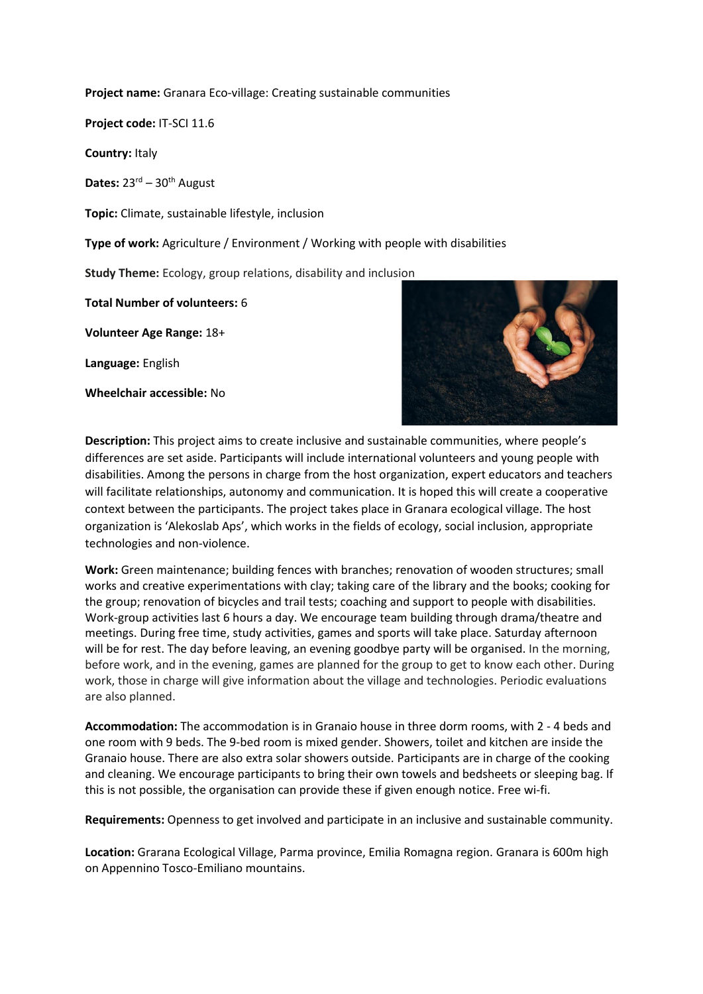**Project name:** Granara Eco-village: Creating sustainable communities

**Project code:** IT-SCI 11.6

**Country:** Italy

Dates: 23<sup>rd</sup> – 30<sup>th</sup> August

**Topic:** Climate, sustainable lifestyle, inclusion

**Type of work:** Agriculture / Environment / Working with people with disabilities

**Study Theme:** Ecology, group relations, disability and inclusion

**Total Number of volunteers:** 6

**Volunteer Age Range:** 18+

**Language:** English

**Wheelchair accessible:** No



**Description:** This project aims to create inclusive and sustainable communities, where people's differences are set aside. Participants will include international volunteers and young people with disabilities. Among the persons in charge from the host organization, expert educators and teachers will facilitate relationships, autonomy and communication. It is hoped this will create a cooperative context between the participants. The project takes place in Granara ecological village. The host organization is 'Alekoslab Aps', which works in the fields of ecology, social inclusion, appropriate technologies and non-violence.

**Work:** Green maintenance; building fences with branches; renovation of wooden structures; small works and creative experimentations with clay; taking care of the library and the books; cooking for the group; renovation of bicycles and trail tests; coaching and support to people with disabilities. Work-group activities last 6 hours a day. We encourage team building through drama/theatre and meetings. During free time, study activities, games and sports will take place. Saturday afternoon will be for rest. The day before leaving, an evening goodbye party will be organised. In the morning, before work, and in the evening, games are planned for the group to get to know each other. During work, those in charge will give information about the village and technologies. Periodic evaluations are also planned.

**Accommodation:** The accommodation is in Granaio house in three dorm rooms, with 2 - 4 beds and one room with 9 beds. The 9-bed room is mixed gender. Showers, toilet and kitchen are inside the Granaio house. There are also extra solar showers outside. Participants are in charge of the cooking and cleaning. We encourage participants to bring their own towels and bedsheets or sleeping bag. If this is not possible, the organisation can provide these if given enough notice. Free wi-fi.

**Requirements:** Openness to get involved and participate in an inclusive and sustainable community.

**Location:** Grarana Ecological Village, Parma province, Emilia Romagna region. Granara is 600m high on Appennino Tosco-Emiliano mountains.